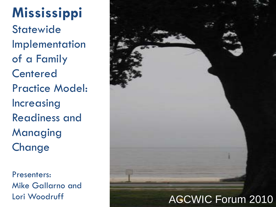**Mississippi Statewide** Implementation of a Family **Centered** Practice Model: Increasing Readiness and Managing **Change** 

Presenters: Mike Gallarno and

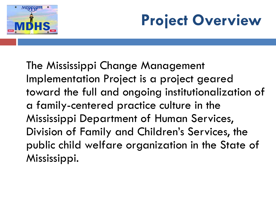

## **Project Overview**

The Mississippi Change Management Implementation Project is a project geared toward the full and ongoing institutionalization of a family-centered practice culture in the Mississippi Department of Human Services, Division of Family and Children's Services, the public child welfare organization in the State of Mississippi.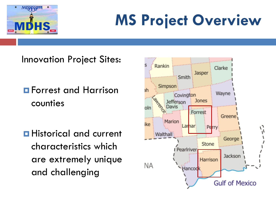

## **MS Project Overview**

Innovation Project Sites:

- **E** Forrest and Harrison counties
- **Historical and current** characteristics which are extremely unique and challenging

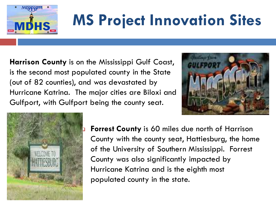

# **MS Project Innovation Sites**

**Harrison County** is on the Mississippi Gulf Coast, is the second most populated county in the State (out of 82 counties), and was devastated by Hurricane Katrina. The major cities are Biloxi and Gulfport, with Gulfport being the county seat.





 **Forrest County** is 60 miles due north of Harrison County with the county seat, Hattiesburg, the home of the University of Southern Mississippi. Forrest County was also significantly impacted by Hurricane Katrina and is the eighth most populated county in the state.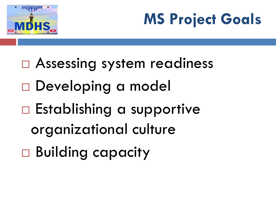

## **MS Project Goals**

 Assessing system readiness Developing a model □ Establishing a supportive organizational culture Building capacity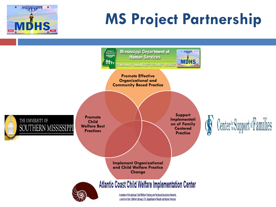

## **MS Project Partnership**



a service of the Children's Bureau, U.S. Department of Health and Human Services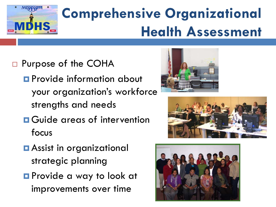

## **Comprehensive Organizational Health Assessment**

- □ Purpose of the COHA
	- **Provide information about** your organization's workforce strengths and needs
	- **<u>n</u>** Guide areas of intervention focus





- Assist in organizational strategic planning
- **Provide a way to look at** improvements over time

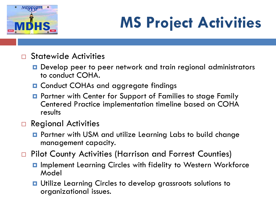

## **MS Project Activities**

- □ Statewide Activities
	- **□** Develop peer to peer network and train regional administrators to conduct COHA.
	- **Q** Conduct COHAs and aggregate findings
	- **Partner with Center for Support of Families to stage Family** Centered Practice implementation timeline based on COHA results

#### □ Regional Activities

- **Partner with USM and utilize Learning Labs to build change** management capacity.
- □ Pilot County Activities (Harrison and Forrest Counties)
	- **D** Implement Learning Circles with fidelity to Western Workforce Model
	- **u** Utilize Learning Circles to develop grassroots solutions to organizational issues.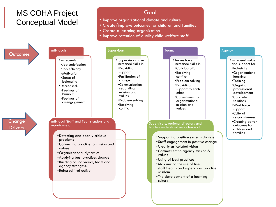#### MS COHA Project Conceptual Model

#### Goal

- Improve organizational climate and culture
- Create/improve outcomes for children and families
- Create a learning organization
- Improve retention of quality child welfare staff

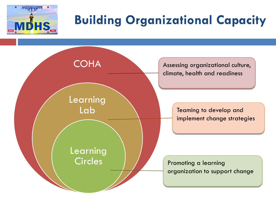

### **Building Organizational Capacity**

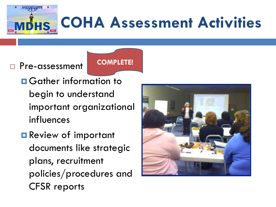

#### **D** Pre-assessment

**COMPLETE!**

- **O** Gather information to begin to understand important organizational influences
- **Review of important** documents like strategic plans, recruitment policies/procedures and CFSR reports

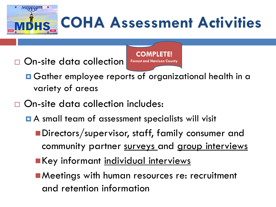**COHA Assessment Activities**

□ On-site data collection



- **O** Gather employee reports of organizational health in a variety of areas
- □ On-site data collection includes:
	- **A** small team of assessment specialists will visit
		- Directors/supervisor, staff, family consumer and community partner surveys and group interviews
		- **Key informant individual interviews**
		- Meetings with human resources re: recruitment and retention information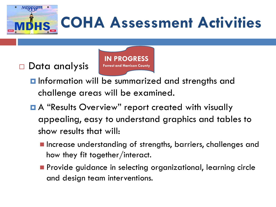**COHA Assessment Activities**

#### □ Data analysis

**IN PROGRESS Forrest and Harrison County**

- **I**nformation will be summarized and strengths and challenge areas will be examined.
- **A** "Results Overview" report created with visually appealing, easy to understand graphics and tables to show results that will:
	- **Increase understanding of strengths, barriers, challenges and** how they fit together/interact.
	- **Provide guidance in selecting organizational, learning circle** and design team interventions.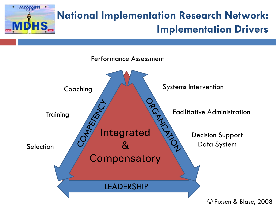

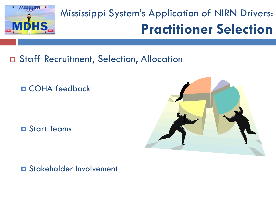

### Mississippi System's Application of NIRN Drivers: **Practitioner Selection**

□ Staff Recruitment, Selection, Allocation

COHA feedback

Start Teams



**O** Stakeholder Involvement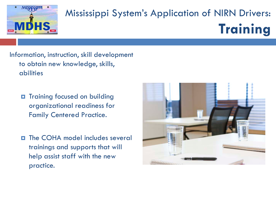

### Mississippi System's Application of NIRN Drivers: **Training**

Information, instruction, skill development to obtain new knowledge, skills, abilities

- $\Box$  Training focused on building organizational readiness for Family Centered Practice.
- $\Box$  The COHA model includes several trainings and supports that will help assist staff with the new practice.

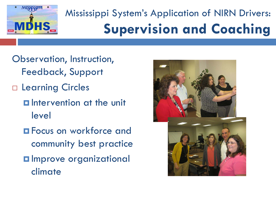

### Mississippi System's Application of NIRN Drivers: **Supervision and Coaching**

- Observation, Instruction, Feedback, Support
- Learning Circles
	- **E** Intervention at the unit level
	- **Example 20 Focus on workforce and** community best practice
	- **O** Improve organizational climate

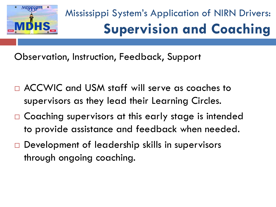

### Mississippi System's Application of NIRN Drivers: **Supervision and Coaching**

Observation, Instruction, Feedback, Support

- ACCWIC and USM staff will serve as coaches to supervisors as they lead their Learning Circles.
- □ Coaching supervisors at this early stage is intended to provide assistance and feedback when needed.
- □ Development of leadership skills in supervisors through ongoing coaching.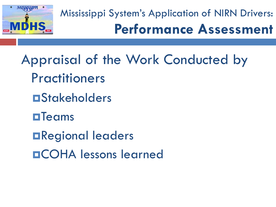

Mississippi System's Application of NIRN Drivers: **Performance Assessment**

Appraisal of the Work Conducted by **Practitioners OStakeholders**  $\blacksquare$ Teams Regional leaders COHA lessons learned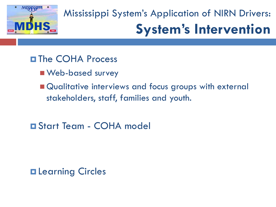

### Mississippi System's Application of NIRN Drivers: **System's Intervention**

#### **D**The COHA Process

- **Neb-based survey**
- Qualitative interviews and focus groups with external stakeholders, staff, families and youth.
- Start Team COHA model

**Q** Learning Circles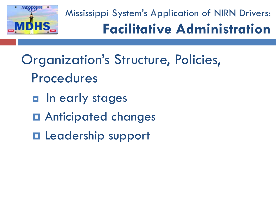

Mississippi System's Application of NIRN Drivers: **Facilitative Administration**

## Organization's Structure, Policies, Procedures

- **n** In early stages
- $\blacksquare$  Anticipated changes
- **Leadership support**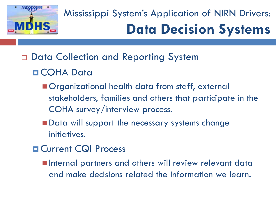

### Mississippi System's Application of NIRN Drivers: **Data Decision Systems**

Data Collection and Reporting System

#### COHA Data

- **Organizational health data from staff, external** stakeholders, families and others that participate in the COHA survey/interview process.
- Data will support the necessary systems change initiatives.
- **D** Current CQI Process
	- **Internal partners and others will review relevant data** and make decisions related the information we learn.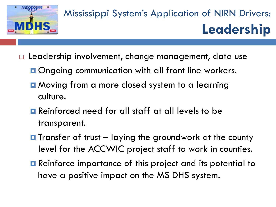

### Mississippi System's Application of NIRN Drivers: **Leadership**

- $\Box$  Leadership involvement, change management, data use
	- **O**ngoing communication with all front line workers.
	- **Q** Moving from a more closed system to a learning culture.
	- **Reinforced need for all staff at all levels to be** transparent.
	- $\blacksquare$  Transfer of trust  $-$  laying the groundwork at the county level for the ACCWIC project staff to work in counties.
	- **E** Reinforce importance of this project and its potential to have a positive impact on the MS DHS system.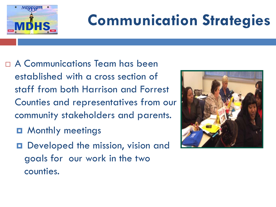

## **Communication Strategies**

- A Communications Team has been established with a cross section of staff from both Harrison and Forrest Counties and representatives from our community stakeholders and parents.
	- $\blacksquare$  **Monthly meetings**
	- Developed the mission, vision and goals for our work in the two counties.

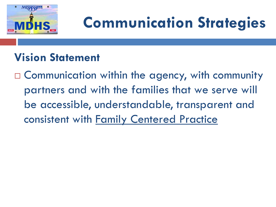

## **Communication Strategies**

#### **Vision Statement**

□ Communication within the agency, with community partners and with the families that we serve will be accessible, understandable, transparent and consistent with Family Centered Practice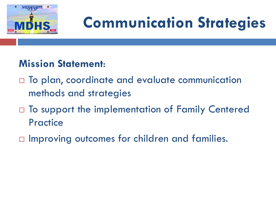

## **Communication Strategies**

#### **Mission Statement**:

- □ To plan, coordinate and evaluate communication methods and strategies
- □ To support the implementation of Family Centered **Practice**
- $\Box$  Improving outcomes for children and families.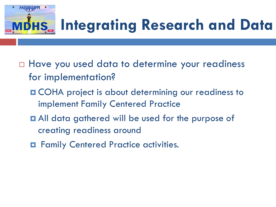

## **Integrating Research and Data**

- $\Box$  Have you used data to determine your readiness for implementation?
	- **OCHA** project is about determining our readiness to implement Family Centered Practice
	- $\blacksquare$  All data gathered will be used for the purpose of creating readiness around
	- $\blacksquare$  Family Centered Practice activities.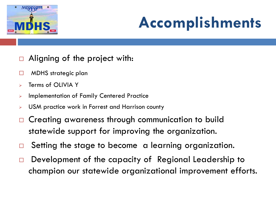

## **Accomplishments**

- Aligning of the project with:
- □ MDHS strategic plan
- $\triangleright$  Terms of OLIVIA Y
- **EXED:** Implementation of Family Centered Practice
- **EXECT** USM practice work in Forrest and Harrison county
- □ Creating awareness through communication to build statewide support for improving the organization.
- □ Setting the stage to become a learning organization.
- $\Box$  Development of the capacity of Regional Leadership to champion our statewide organizational improvement efforts.